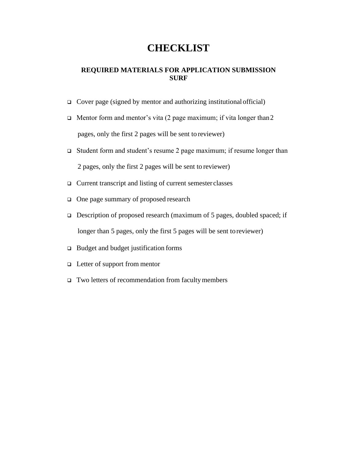# **CHECKLIST**

#### **REQUIRED MATERIALS FOR APPLICATION SUBMISSION SURF**

- ❑ Cover page (signed by mentor and authorizing institutional official)
- ❑ Mentor form and mentor's vita (2 page maximum; if vita longer than2 pages, only the first 2 pages will be sent to reviewer)
- ❑ Student form and student's resume 2 page maximum; if resume longer than 2 pages, only the first 2 pages will be sent to reviewer)
- ❑ Current transcript and listing of current semester classes
- ❑ One page summary of proposed research
- ❑ Description of proposed research (maximum of 5 pages, doubled spaced; if longer than 5 pages, only the first 5 pages will be sent toreviewer)
- ❑ Budget and budget justification forms
- ❑ Letter of support from mentor
- ❑ Two letters of recommendation from facultymembers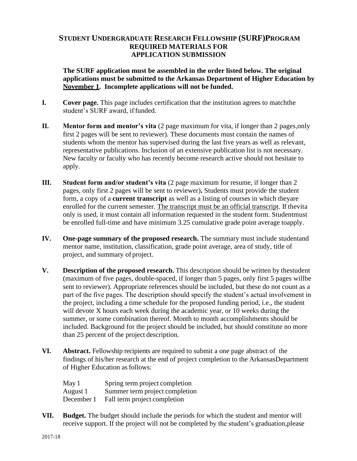### **STUDENT UNDERGRADUATE RESEARCH FELLOWSHIP (SURF)PROGRAM REQUIRED MATERIALS FOR APPLICATION SUBMISSION**

**The SURF application must be assembled in the order listed below. The original applications must be submitted to the Arkansas Department of Higher Education by November 1. Incomplete applications will not be funded.**

- **I. Cover page.** This page includes certification that the institution agrees to matchthe student's SURF award, if funded.
- **II. Mentor form and mentor's vita** (2 page maximum for vita, if longer than 2 pages, only first 2 pages will be sent to reviewer). These documents must contain the names of students whom the mentor has supervised during the last five years as well as relevant, representative publications. Inclusion of an extensive publication list is not necessary. New faculty or faculty who has recently become research active should not hesitate to apply.
- **III.** Student form and/or student's vita (2 page maximum for resume, if longer than 2 pages, only first 2 pages will be sent to reviewer)**.** Students must provide the student form, a copy of a **current transcript** as well as a listing of courses in which theyare enrolled for the current semester. The transcript must be an official transcript. If thevita only is used, it must contain all information requested in the student form. Studentmust be enrolled full-time and have minimum 3.25 cumulative grade point average toapply.
- **IV. One-page summary of the proposed research.** The summary must include studentand mentor name, institution, classification, grade point average, area of study, title of project, and summary of project.
- **V. Description of the proposed research.** This description should be written by thestudent (maximum of five pages, double-spaced, if longer than 5 pages, only first 5 pages willbe sent to reviewer). Appropriate references should be included, but these do not count as a part of the five pages. The description should specify the student's actual involvement in the project, including a time schedule for the proposed funding period, i.e., the student will devote X hours each week during the academic year, or 10 weeks during the summer, or some combination thereof. Month to month accomplishments should be included. Background for the project should be included, but should constitute no more than 25 percent of the project description.
- **VI. Abstract.** Fellowship recipients are required to submit a one page abstract of the findings of his/her research at the end of project completion to the ArkansasDepartment of Higher Education asfollows:

| May 1      | Spring term project completion |
|------------|--------------------------------|
| August 1   | Summer term project completion |
| December 1 | Fall term project completion   |

**VII. Budget.** The budget should include the periods for which the student and mentor will receive support. If the project will not be completed by the student's graduation,please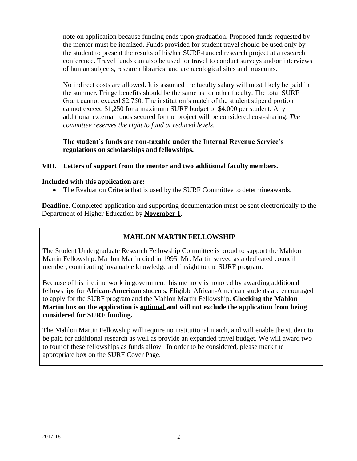note on application because funding ends upon graduation. Proposed funds requested by the mentor must be itemized. Funds provided for student travel should be used only by the student to present the results of his/her SURF-funded research project at a research conference. Travel funds can also be used for travel to conduct surveys and/or interviews of human subjects, research libraries, and archaeological sites and museums.

No indirect costs are allowed. It is assumed the faculty salary will most likely be paid in the summer. Fringe benefits should be the same as for other faculty. The total SURF Grant cannot exceed \$2,750. The institution's match of the student stipend portion cannot exceed \$1,250 for a maximum SURF budget of \$4,000 per student. Any additional external funds secured for the project will be considered cost-sharing. *The committee reserves the right to fund at reduced levels*.

**The student's funds are non-taxable under the Internal Revenue Service's regulations on scholarships and fellowships.**

#### **VIII. Letters of support from the mentor and two additional faculty members.**

#### **Included with this application are:**

• The Evaluation Criteria that is used by the SURF Committee to determineawards.

**Deadline.** Completed application and supporting documentation must be sent electronically to the Department of Higher Education by **November 1**.

### **MAHLON MARTIN FELLOWSHIP**

The Student Undergraduate Research Fellowship Committee is proud to support the Mahlon Martin Fellowship. Mahlon Martin died in 1995. Mr. Martin served as a dedicated council member, contributing invaluable knowledge and insight to the SURF program.

Because of his lifetime work in government, his memory is honored by awarding additional fellowships for **African-American** students. Eligible African-American students are encouraged to apply for the SURF program and the Mahlon Martin Fellowship. **Checking the Mahlon Martin box on the application is optional and will not exclude the application from being considered for SURF funding.**

The Mahlon Martin Fellowship will require no institutional match, and will enable the student to be paid for additional research as well as provide an expanded travel budget. We will award two to four of these fellowships as funds allow. In order to be considered, please mark the appropriate box on the SURF Cover Page.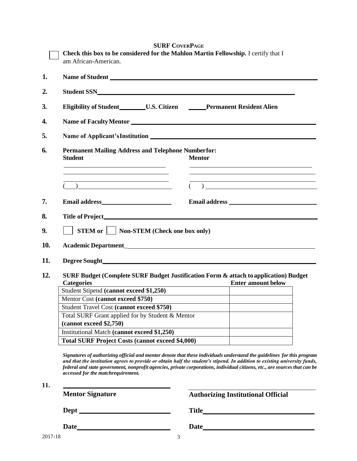|         | Check this box to be considered for the Mahlon Martin Fellowship. I certify that I<br>am African-American.                                                                                                                                                                                                                                                                                                                                                                                                         |                                               |                                                                                                                                                                                                                                                                                                                                                                     |  |  |  |  |  |
|---------|--------------------------------------------------------------------------------------------------------------------------------------------------------------------------------------------------------------------------------------------------------------------------------------------------------------------------------------------------------------------------------------------------------------------------------------------------------------------------------------------------------------------|-----------------------------------------------|---------------------------------------------------------------------------------------------------------------------------------------------------------------------------------------------------------------------------------------------------------------------------------------------------------------------------------------------------------------------|--|--|--|--|--|
| 1.      | Name of Student League and Student League and Student League and Student League and Student League and Student                                                                                                                                                                                                                                                                                                                                                                                                     |                                               |                                                                                                                                                                                                                                                                                                                                                                     |  |  |  |  |  |
| 2.      |                                                                                                                                                                                                                                                                                                                                                                                                                                                                                                                    |                                               |                                                                                                                                                                                                                                                                                                                                                                     |  |  |  |  |  |
| 3.      | Eligibility of Student__________U.S. Citizen _________Permanent Resident Alien                                                                                                                                                                                                                                                                                                                                                                                                                                     |                                               |                                                                                                                                                                                                                                                                                                                                                                     |  |  |  |  |  |
| 4.      |                                                                                                                                                                                                                                                                                                                                                                                                                                                                                                                    |                                               |                                                                                                                                                                                                                                                                                                                                                                     |  |  |  |  |  |
| 5.      |                                                                                                                                                                                                                                                                                                                                                                                                                                                                                                                    |                                               |                                                                                                                                                                                                                                                                                                                                                                     |  |  |  |  |  |
| 6.      | <b>Permanent Mailing Address and Telephone Numberfor:</b><br><b>Student</b><br><b>Mentor</b><br>the control of the control of the control of the control of the control of the control of                                                                                                                                                                                                                                                                                                                          |                                               |                                                                                                                                                                                                                                                                                                                                                                     |  |  |  |  |  |
|         | the control of the control of the control of the control of the control of the control of<br><u> 1989 - Johann Stein, mars an t-Amerikaansk ferskeizh (</u><br>$\begin{picture}(180,10) \put(0,0){\line(1,0){10}} \put(10,0){\line(1,0){10}} \put(10,0){\line(1,0){10}} \put(10,0){\line(1,0){10}} \put(10,0){\line(1,0){10}} \put(10,0){\line(1,0){10}} \put(10,0){\line(1,0){10}} \put(10,0){\line(1,0){10}} \put(10,0){\line(1,0){10}} \put(10,0){\line(1,0){10}} \put(10,0){\line(1,0){10}} \put(10,0){\line($ |                                               | $\begin{picture}(20,10) \put(0,0){\vector(1,0){100}} \put(15,0){\vector(1,0){100}} \put(15,0){\vector(1,0){100}} \put(15,0){\vector(1,0){100}} \put(15,0){\vector(1,0){100}} \put(15,0){\vector(1,0){100}} \put(15,0){\vector(1,0){100}} \put(15,0){\vector(1,0){100}} \put(15,0){\vector(1,0){100}} \put(15,0){\vector(1,0){100}} \put(15,0){\vector(1,0){100}} \$ |  |  |  |  |  |
| 7.      |                                                                                                                                                                                                                                                                                                                                                                                                                                                                                                                    |                                               |                                                                                                                                                                                                                                                                                                                                                                     |  |  |  |  |  |
| 8.      |                                                                                                                                                                                                                                                                                                                                                                                                                                                                                                                    |                                               |                                                                                                                                                                                                                                                                                                                                                                     |  |  |  |  |  |
| 9.      | <b>STEM or     Non-STEM (Check one box only)</b>                                                                                                                                                                                                                                                                                                                                                                                                                                                                   |                                               |                                                                                                                                                                                                                                                                                                                                                                     |  |  |  |  |  |
| 10.     |                                                                                                                                                                                                                                                                                                                                                                                                                                                                                                                    |                                               |                                                                                                                                                                                                                                                                                                                                                                     |  |  |  |  |  |
| 11.     |                                                                                                                                                                                                                                                                                                                                                                                                                                                                                                                    |                                               |                                                                                                                                                                                                                                                                                                                                                                     |  |  |  |  |  |
| 12.     | SURF Budget (Complete SURF Budget Justification Form & attach to application) Budget<br><b>Categories</b>                                                                                                                                                                                                                                                                                                                                                                                                          | <u> 1989 - Johann Stoff, fransk politik (</u> | <b>Enter amount below</b>                                                                                                                                                                                                                                                                                                                                           |  |  |  |  |  |
|         | Student Stipend (cannot exceed \$1,250)                                                                                                                                                                                                                                                                                                                                                                                                                                                                            |                                               |                                                                                                                                                                                                                                                                                                                                                                     |  |  |  |  |  |
|         | Mentor Cost (cannot exceed \$750)                                                                                                                                                                                                                                                                                                                                                                                                                                                                                  |                                               |                                                                                                                                                                                                                                                                                                                                                                     |  |  |  |  |  |
|         | Student Travel Cost (cannot exceed \$750)                                                                                                                                                                                                                                                                                                                                                                                                                                                                          |                                               |                                                                                                                                                                                                                                                                                                                                                                     |  |  |  |  |  |
|         | Total SURF Grant applied for by Student & Mentor<br>(cannot exceed \$2,750)                                                                                                                                                                                                                                                                                                                                                                                                                                        |                                               |                                                                                                                                                                                                                                                                                                                                                                     |  |  |  |  |  |
|         | Institutional Match (cannot exceed \$1,250)                                                                                                                                                                                                                                                                                                                                                                                                                                                                        |                                               |                                                                                                                                                                                                                                                                                                                                                                     |  |  |  |  |  |
|         | <b>Total SURF Project Costs (cannot exceed \$4,000)</b>                                                                                                                                                                                                                                                                                                                                                                                                                                                            |                                               |                                                                                                                                                                                                                                                                                                                                                                     |  |  |  |  |  |
|         | Signatures of authorizing official and mentor denote that these individuals understand the guidelines for this program<br>and that the institution agrees to provide or obtain half the student's stipend. In addition to existing university funds,<br>federal and state government, nonprofit agencies, private corporations, individual citizens, etc., are sources that can be<br>accessed for the matchrequirement.                                                                                           |                                               |                                                                                                                                                                                                                                                                                                                                                                     |  |  |  |  |  |
| 11.     | <b>Mentor Signature</b>                                                                                                                                                                                                                                                                                                                                                                                                                                                                                            |                                               | <b>Authorizing Institutional Official</b>                                                                                                                                                                                                                                                                                                                           |  |  |  |  |  |
|         | Dept Property and Dept Property and Dept Property and Dept Property and Dept                                                                                                                                                                                                                                                                                                                                                                                                                                       |                                               |                                                                                                                                                                                                                                                                                                                                                                     |  |  |  |  |  |
|         |                                                                                                                                                                                                                                                                                                                                                                                                                                                                                                                    |                                               |                                                                                                                                                                                                                                                                                                                                                                     |  |  |  |  |  |
| 2017-18 | 3                                                                                                                                                                                                                                                                                                                                                                                                                                                                                                                  |                                               |                                                                                                                                                                                                                                                                                                                                                                     |  |  |  |  |  |

**SURF COVERPAGE**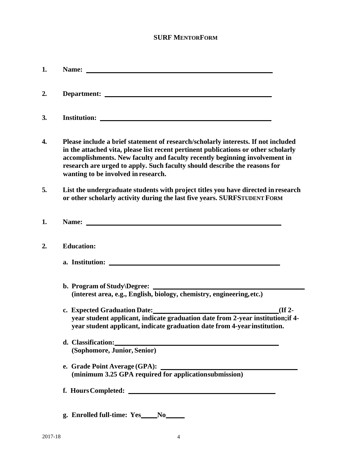## **SURF MENTORFORM**

| 1. |                                                                                                                                                                                                                                                                                                                                                                           |
|----|---------------------------------------------------------------------------------------------------------------------------------------------------------------------------------------------------------------------------------------------------------------------------------------------------------------------------------------------------------------------------|
| 2. | Department:                                                                                                                                                                                                                                                                                                                                                               |
| 3. |                                                                                                                                                                                                                                                                                                                                                                           |
| 4. | Please include a brief statement of research/scholarly interests. If not included<br>in the attached vita, please list recent pertinent publications or other scholarly<br>accomplishments. New faculty and faculty recently beginning involvement in<br>research are urged to apply. Such faculty should describe the reasons for<br>wanting to be involved in research. |
| 5. | List the undergraduate students with project titles you have directed in research<br>or other scholarly activity during the last five years. SURFSTUDENT FORM                                                                                                                                                                                                             |
| 1. | Name: Name:                                                                                                                                                                                                                                                                                                                                                               |
| 2. | <b>Education:</b>                                                                                                                                                                                                                                                                                                                                                         |
|    | a. Institution:                                                                                                                                                                                                                                                                                                                                                           |
|    | b. Program of Study $\Delta$ Degree: $\Delta$<br>(interest area, e.g., English, biology, chemistry, engineering, etc.)                                                                                                                                                                                                                                                    |
|    | $I$ (If 2-<br>year student applicant, indicate graduation date from 2-year institution; if 4-<br>year student applicant, indicate graduation date from 4-year institution.                                                                                                                                                                                                |
|    | d. Classification:<br>(Sophomore, Junior, Senior)                                                                                                                                                                                                                                                                                                                         |
|    | e. Grade Point Average (GPA):<br>(minimum 3.25 GPA required for applicationsubmission)                                                                                                                                                                                                                                                                                    |
|    |                                                                                                                                                                                                                                                                                                                                                                           |
|    | g. Enrolled full-time: Yes____No_____                                                                                                                                                                                                                                                                                                                                     |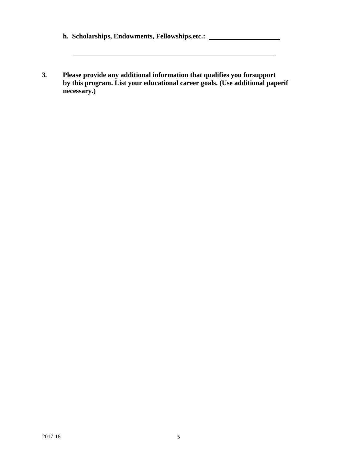| h. Scholarships, Endowments, Fellowships, etc.: |  |
|-------------------------------------------------|--|
|-------------------------------------------------|--|

**3. Please provide any additional information that qualifies you forsupport by this program. List your educational career goals. (Use additional paperif necessary.)**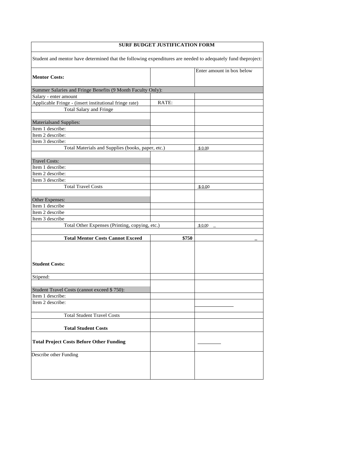# **SURF BUDGET JUSTIFICATION FORM** Student and mentor have determined that the following expenditures are needed to adequately fund theproject: **Mentor Costs:** Enter amount in box below Summer Salaries and Fringe Benefits (9 Month Faculty Only): Salary - enter amount Applicable Fringe - (insert institutional fringe rate) RATE: Total Salary and Fringe Materialsand Supplies: Item 1 describe: Item 2 describe: Item 3 describe: Total Materials and Supplies (books, paper, etc.) \$ 0.00 Travel Costs: Item 1 describe: Item 2 describe: Item 3 describe: Total Travel Costs \_\$\_0\_.\_00 Other Expenses: Item 1 describe Item 2 describe Item 3 describe Total Other Expenses (Printing, copying, etc.)  $\begin{array}{|c|c|} \hline \text{$60.00}\end{array}$ **Total Mentor Costs Cannot Exceed \$750 \_ Student Costs:** Stipend: Student Travel Costs (cannot exceed \$ 750): Item 1 describe: Item 2 describe: Total Student Travel Costs **Total Student Costs Total Project Costs Before Other Funding** Describe other Funding